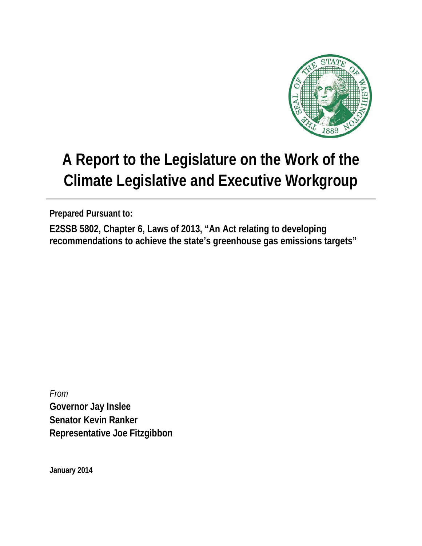

# **A Report to the Legislature on the Work of the Climate Legislative and Executive Workgroup**

**Prepared Pursuant to:**

**E2SSB 5802, Chapter 6, Laws of 2013, "An Act relating to developing recommendations to achieve the state's greenhouse gas emissions targets"** 

*From* **Governor Jay Inslee Senator Kevin Ranker Representative Joe Fitzgibbon**

**January 2014**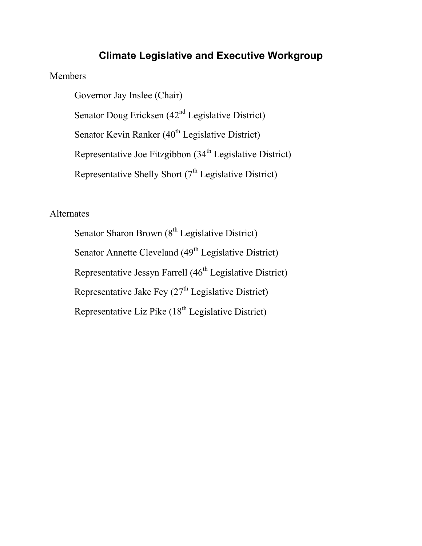# **Climate Legislative and Executive Workgroup**

### Members

Governor Jay Inslee (Chair) Senator Doug Ericksen  $(42<sup>nd</sup>$  Legislative District) Senator Kevin Ranker  $(40<sup>th</sup>$  Legislative District) Representative Joe Fitzgibbon (34<sup>th</sup> Legislative District) Representative Shelly Short  $(7<sup>th</sup>$  Legislative District)

# Alternates

Senator Sharon Brown  $(8<sup>th</sup>$  Legislative District) Senator Annette Cleveland (49<sup>th</sup> Legislative District) Representative Jessyn Farrell (46<sup>th</sup> Legislative District) Representative Jake Fey  $(27<sup>th</sup>$  Legislative District) Representative Liz Pike (18<sup>th</sup> Legislative District)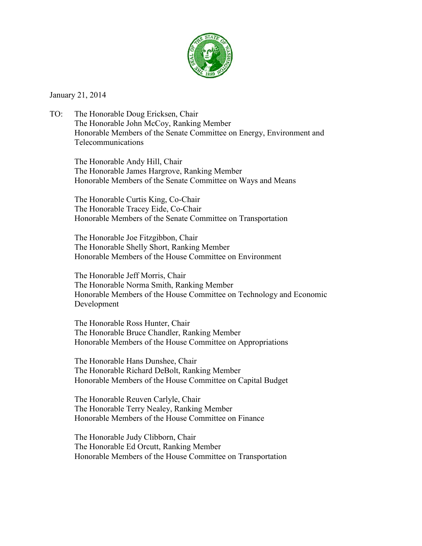

January 21, 2014

TO: The Honorable Doug Ericksen, Chair The Honorable John McCoy, Ranking Member Honorable Members of the Senate Committee on Energy, Environment and Telecommunications

The Honorable Andy Hill, Chair The Honorable James Hargrove, Ranking Member Honorable Members of the Senate Committee on Ways and Means

The Honorable Curtis King, Co-Chair The Honorable Tracey Eide, Co-Chair Honorable Members of the Senate Committee on Transportation

The Honorable Joe Fitzgibbon, Chair The Honorable Shelly Short, Ranking Member Honorable Members of the House Committee on Environment

The Honorable Jeff Morris, Chair The Honorable Norma Smith, Ranking Member Honorable Members of the House Committee on Technology and Economic Development

The Honorable Ross Hunter, Chair The Honorable Bruce Chandler, Ranking Member Honorable Members of the House Committee on Appropriations

The Honorable Hans Dunshee, Chair The Honorable Richard DeBolt, Ranking Member Honorable Members of the House Committee on Capital Budget

The Honorable Reuven Carlyle, Chair The Honorable Terry Nealey, Ranking Member Honorable Members of the House Committee on Finance

The Honorable Judy Clibborn, Chair The Honorable Ed Orcutt, Ranking Member Honorable Members of the House Committee on Transportation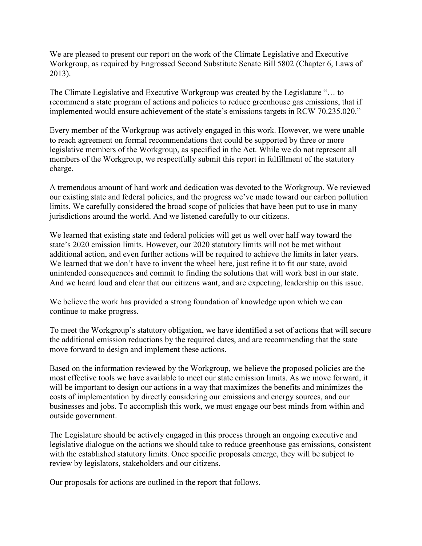We are pleased to present our report on the work of the Climate Legislative and Executive Workgroup, as required by Engrossed Second Substitute Senate Bill 5802 (Chapter 6, Laws of 2013).

The Climate Legislative and Executive Workgroup was created by the Legislature "… to recommend a state program of actions and policies to reduce greenhouse gas emissions, that if implemented would ensure achievement of the state's emissions targets in RCW 70.235.020."

Every member of the Workgroup was actively engaged in this work. However, we were unable to reach agreement on formal recommendations that could be supported by three or more legislative members of the Workgroup, as specified in the Act. While we do not represent all members of the Workgroup, we respectfully submit this report in fulfillment of the statutory charge.

A tremendous amount of hard work and dedication was devoted to the Workgroup. We reviewed our existing state and federal policies, and the progress we've made toward our carbon pollution limits. We carefully considered the broad scope of policies that have been put to use in many jurisdictions around the world. And we listened carefully to our citizens.

We learned that existing state and federal policies will get us well over half way toward the state's 2020 emission limits. However, our 2020 statutory limits will not be met without additional action, and even further actions will be required to achieve the limits in later years. We learned that we don't have to invent the wheel here, just refine it to fit our state, avoid unintended consequences and commit to finding the solutions that will work best in our state. And we heard loud and clear that our citizens want, and are expecting, leadership on this issue.

We believe the work has provided a strong foundation of knowledge upon which we can continue to make progress.

To meet the Workgroup's statutory obligation, we have identified a set of actions that will secure the additional emission reductions by the required dates, and are recommending that the state move forward to design and implement these actions.

Based on the information reviewed by the Workgroup, we believe the proposed policies are the most effective tools we have available to meet our state emission limits. As we move forward, it will be important to design our actions in a way that maximizes the benefits and minimizes the costs of implementation by directly considering our emissions and energy sources, and our businesses and jobs. To accomplish this work, we must engage our best minds from within and outside government.

The Legislature should be actively engaged in this process through an ongoing executive and legislative dialogue on the actions we should take to reduce greenhouse gas emissions, consistent with the established statutory limits. Once specific proposals emerge, they will be subject to review by legislators, stakeholders and our citizens.

Our proposals for actions are outlined in the report that follows.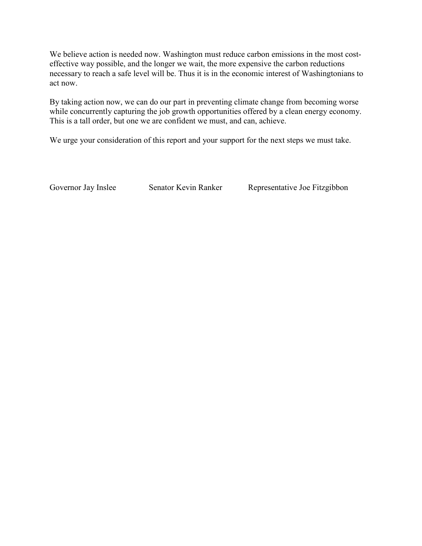We believe action is needed now. Washington must reduce carbon emissions in the most costeffective way possible, and the longer we wait, the more expensive the carbon reductions necessary to reach a safe level will be. Thus it is in the economic interest of Washingtonians to act now.

By taking action now, we can do our part in preventing climate change from becoming worse while concurrently capturing the job growth opportunities offered by a clean energy economy. This is a tall order, but one we are confident we must, and can, achieve.

We urge your consideration of this report and your support for the next steps we must take.

Governor Jay Inslee Senator Kevin Ranker Representative Joe Fitzgibbon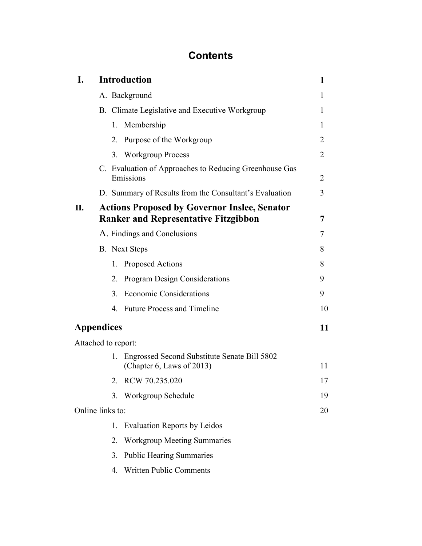# **Contents**

| I.                  | <b>Introduction</b>                                                                                |                                                |                                                                           |    |  |  |  |
|---------------------|----------------------------------------------------------------------------------------------------|------------------------------------------------|---------------------------------------------------------------------------|----|--|--|--|
|                     |                                                                                                    |                                                | A. Background                                                             | 1  |  |  |  |
|                     |                                                                                                    | B. Climate Legislative and Executive Workgroup |                                                                           |    |  |  |  |
|                     |                                                                                                    | 1.                                             | Membership                                                                | 1  |  |  |  |
|                     |                                                                                                    | 2.                                             | Purpose of the Workgroup                                                  | 2  |  |  |  |
|                     |                                                                                                    |                                                | 3. Workgroup Process                                                      | 2  |  |  |  |
|                     | C. Evaluation of Approaches to Reducing Greenhouse Gas<br>Emissions                                |                                                |                                                                           | 2  |  |  |  |
|                     |                                                                                                    |                                                | D. Summary of Results from the Consultant's Evaluation                    | 3  |  |  |  |
| II.                 | <b>Actions Proposed by Governor Inslee, Senator</b><br><b>Ranker and Representative Fitzgibbon</b> |                                                |                                                                           |    |  |  |  |
|                     |                                                                                                    | A. Findings and Conclusions                    |                                                                           |    |  |  |  |
|                     |                                                                                                    |                                                | <b>B.</b> Next Steps                                                      | 8  |  |  |  |
|                     |                                                                                                    | 1.                                             | Proposed Actions                                                          | 8  |  |  |  |
|                     |                                                                                                    | 2.                                             | <b>Program Design Considerations</b>                                      | 9  |  |  |  |
|                     |                                                                                                    | 3.                                             | <b>Economic Considerations</b>                                            | 9  |  |  |  |
|                     |                                                                                                    |                                                | 4. Future Process and Timeline                                            | 10 |  |  |  |
| <b>Appendices</b>   |                                                                                                    |                                                |                                                                           |    |  |  |  |
| Attached to report: |                                                                                                    |                                                |                                                                           |    |  |  |  |
|                     |                                                                                                    | 1.                                             | Engrossed Second Substitute Senate Bill 5802<br>(Chapter 6, Laws of 2013) | 11 |  |  |  |
|                     |                                                                                                    | 2.                                             | RCW 70.235.020                                                            | 17 |  |  |  |
|                     |                                                                                                    | 3.                                             | Workgroup Schedule                                                        | 19 |  |  |  |
| Online links to:    |                                                                                                    |                                                |                                                                           | 20 |  |  |  |
|                     |                                                                                                    | 1.                                             | <b>Evaluation Reports by Leidos</b>                                       |    |  |  |  |
|                     |                                                                                                    | 2.                                             | <b>Workgroup Meeting Summaries</b>                                        |    |  |  |  |
|                     |                                                                                                    | 3.                                             | <b>Public Hearing Summaries</b>                                           |    |  |  |  |
|                     |                                                                                                    | 4.                                             | <b>Written Public Comments</b>                                            |    |  |  |  |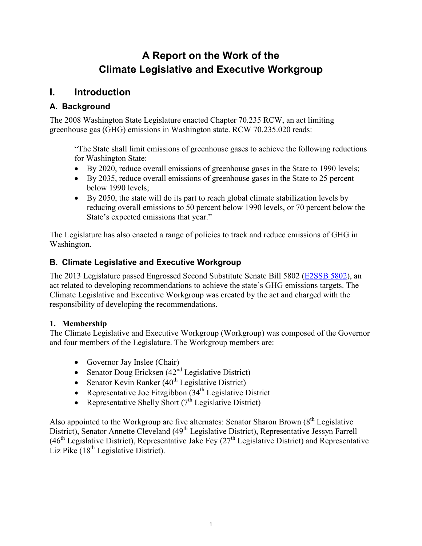# **A Report on the Work of the Climate Legislative and Executive Workgroup**

### **I. Introduction**

### **A. Background**

The 2008 Washington State Legislature enacted Chapter 70.235 RCW, an act limiting greenhouse gas (GHG) emissions in Washington state. RCW 70.235.020 reads:

"The State shall limit emissions of greenhouse gases to achieve the following reductions for Washington State:

- By 2020, reduce overall emissions of greenhouse gases in the State to 1990 levels;
- By 2035, reduce overall emissions of greenhouse gases in the State to 25 percent below 1990 levels;
- By 2050, the state will do its part to reach global climate stabilization levels by reducing overall emissions to 50 percent below 1990 levels, or 70 percent below the State's expected emissions that year."

The Legislature has also enacted a range of policies to track and reduce emissions of GHG in Washington.

### **B. Climate Legislative and Executive Workgroup**

The 2013 Legislature passed Engrossed Second Substitute Senate Bill 5802 [\(E2SSB 5802\)](http://apps.leg.wa.gov/documents/billdocs/2013-14/Pdf/Bills/Session%20Law/5802-S2.SL.pdf), an act related to developing recommendations to achieve the state's GHG emissions targets. The Climate Legislative and Executive Workgroup was created by the act and charged with the responsibility of developing the recommendations.

### **1. Membership**

The Climate Legislative and Executive Workgroup (Workgroup) was composed of the Governor and four members of the Legislature. The Workgroup members are:

- Governor Jay Inslee (Chair)
- Senator Doug Ericksen  $(42<sup>nd</sup>$  Legislative District)
- Senator Kevin Ranker  $(40^{th}$  Legislative District)
- Representative Joe Fitzgibbon  $(34<sup>th</sup>$  Legislative District
- Representative Shelly Short  $(7<sup>th</sup>$  Legislative District)

Also appointed to the Workgroup are five alternates: Senator Sharon Brown  $(8<sup>th</sup>$  Legislative District), Senator Annette Cleveland (49<sup>th</sup> Legislative District), Representative Jessyn Farrell  $(46<sup>th</sup>$  Legislative District), Representative Jake Fey  $(27<sup>th</sup>$  Legislative District) and Representative Liz Pike  $(18<sup>th</sup>$  Legislative District).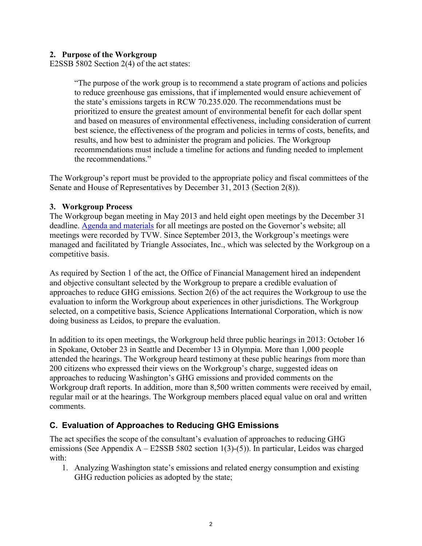#### **2. Purpose of the Workgroup**

E2SSB 5802 Section 2(4) of the act states:

"The purpose of the work group is to recommend a state program of actions and policies to reduce greenhouse gas emissions, that if implemented would ensure achievement of the state's emissions targets in RCW 70.235.020. The recommendations must be prioritized to ensure the greatest amount of environmental benefit for each dollar spent and based on measures of environmental effectiveness, including consideration of current best science, the effectiveness of the program and policies in terms of costs, benefits, and results, and how best to administer the program and policies. The Workgroup recommendations must include a timeline for actions and funding needed to implement the recommendations."

The Workgroup's report must be provided to the appropriate policy and fiscal committees of the Senate and House of Representatives by December 31, 2013 (Section 2(8)).

#### **3. Workgroup Process**

The Workgroup began meeting in May 2013 and held eight open meetings by the December 31 deadline. [Agenda and materials](http://www.governor.wa.gov/issues/economy/climateWorkgroup/meetings.aspx) for all meetings are posted on the Governor's website; all meetings were recorded by TVW. Since September 2013, the Workgroup's meetings were managed and facilitated by Triangle Associates, Inc., which was selected by the Workgroup on a competitive basis.

As required by Section 1 of the act, the Office of Financial Management hired an independent and objective consultant selected by the Workgroup to prepare a credible evaluation of approaches to reduce GHG emissions. Section 2(6) of the act requires the Workgroup to use the evaluation to inform the Workgroup about experiences in other jurisdictions. The Workgroup selected, on a competitive basis, Science Applications International Corporation, which is now doing business as Leidos, to prepare the evaluation.

In addition to its open meetings, the Workgroup held three public hearings in 2013: October 16 in Spokane, October 23 in Seattle and December 13 in Olympia. More than 1,000 people attended the hearings. The Workgroup heard testimony at these public hearings from more than 200 citizens who expressed their views on the Workgroup's charge, suggested ideas on approaches to reducing Washington's GHG emissions and provided comments on the Workgroup draft reports. In addition, more than 8,500 written comments were received by email, regular mail or at the hearings. The Workgroup members placed equal value on oral and written comments.

### **C. Evaluation of Approaches to Reducing GHG Emissions**

The act specifies the scope of the consultant's evaluation of approaches to reducing GHG emissions (See Appendix A – E2SSB 5802 section 1(3)-(5)). In particular, Leidos was charged with:

1. Analyzing Washington state's emissions and related energy consumption and existing GHG reduction policies as adopted by the state;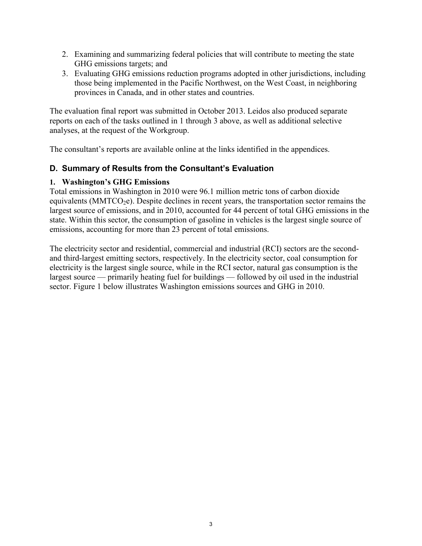- 2. Examining and summarizing federal policies that will contribute to meeting the state GHG emissions targets; and
- 3. Evaluating GHG emissions reduction programs adopted in other jurisdictions, including those being implemented in the Pacific Northwest, on the West Coast, in neighboring provinces in Canada, and in other states and countries.

The evaluation final report was submitted in October 2013. Leidos also produced separate reports on each of the tasks outlined in 1 through 3 above, as well as additional selective analyses, at the request of the Workgroup.

The consultant's reports are available online at the links identified in the appendices.

### **D. Summary of Results from the Consultant's Evaluation**

#### **1. Washington's GHG Emissions**

Total emissions in Washington in 2010 were 96.1 million metric tons of carbon dioxide equivalents ( $MMTCO<sub>2</sub>e$ ). Despite declines in recent years, the transportation sector remains the largest source of emissions, and in 2010, accounted for 44 percent of total GHG emissions in the state. Within this sector, the consumption of gasoline in vehicles is the largest single source of emissions, accounting for more than 23 percent of total emissions.

The electricity sector and residential, commercial and industrial (RCI) sectors are the secondand third-largest emitting sectors, respectively. In the electricity sector, coal consumption for electricity is the largest single source, while in the RCI sector, natural gas consumption is the largest source — primarily heating fuel for buildings — followed by oil used in the industrial sector. Figure 1 below illustrates Washington emissions sources and GHG in 2010.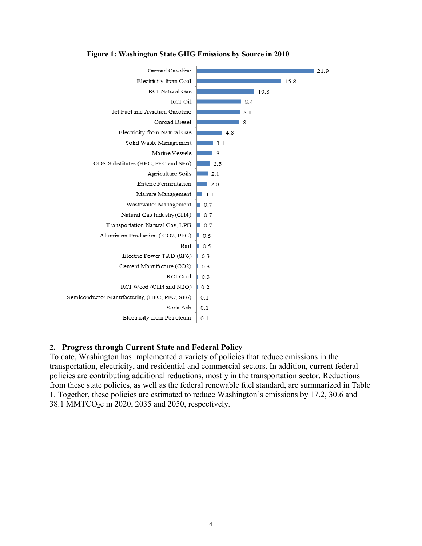

**Figure 1: Washington State GHG Emissions by Source in 2010**

#### **2. Progress through Current State and Federal Policy**

To date, Washington has implemented a variety of policies that reduce emissions in the transportation, electricity, and residential and commercial sectors. In addition, current federal policies are contributing additional reductions, mostly in the transportation sector. Reductions from these state policies, as well as the federal renewable fuel standard, are summarized in Table 1. Together, these policies are estimated to reduce Washington's emissions by 17.2, 30.6 and 38.1 MMTCO2e in 2020, 2035 and 2050, respectively.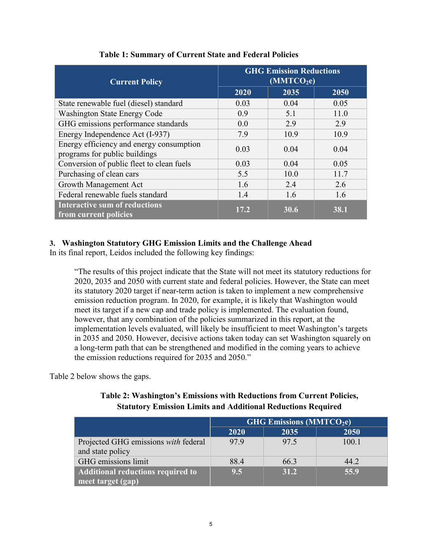| <b>Current Policy</b>                                                     | <b>GHG Emission Reductions</b><br>(MMTCO <sub>2</sub> e) |      |      |  |
|---------------------------------------------------------------------------|----------------------------------------------------------|------|------|--|
|                                                                           | 2020                                                     | 2035 | 2050 |  |
| State renewable fuel (diesel) standard                                    | 0.03                                                     | 0.04 | 0.05 |  |
| <b>Washington State Energy Code</b>                                       | 0.9                                                      | 5.1  | 11.0 |  |
| GHG emissions performance standards                                       | 0.0                                                      | 2.9  | 2.9  |  |
| Energy Independence Act (I-937)                                           | 7.9                                                      | 10.9 | 10.9 |  |
| Energy efficiency and energy consumption<br>programs for public buildings | 0.03                                                     | 0.04 | 0.04 |  |
| Conversion of public fleet to clean fuels                                 | 0.03                                                     | 0.04 | 0.05 |  |
| Purchasing of clean cars                                                  | 5.5                                                      | 10.0 | 11.7 |  |
| Growth Management Act                                                     | 1.6                                                      | 2.4  | 2.6  |  |
| Federal renewable fuels standard                                          | 1.4                                                      | 1.6  | 1.6  |  |
| <b>Interactive sum of reductions</b><br>from current policies             | 17.2                                                     | 30.6 | 38.1 |  |

### **Table 1: Summary of Current State and Federal Policies**

### **3. Washington Statutory GHG Emission Limits and the Challenge Ahead**

In its final report, Leidos included the following key findings:

"The results of this project indicate that the State will not meet its statutory reductions for 2020, 2035 and 2050 with current state and federal policies. However, the State can meet its statutory 2020 target if near-term action is taken to implement a new comprehensive emission reduction program. In 2020, for example, it is likely that Washington would meet its target if a new cap and trade policy is implemented. The evaluation found, however, that any combination of the policies summarized in this report, at the implementation levels evaluated, will likely be insufficient to meet Washington's targets in 2035 and 2050. However, decisive actions taken today can set Washington squarely on a long-term path that can be strengthened and modified in the coming years to achieve the emission reductions required for 2035 and 2050."

Table 2 below shows the gaps.

| Table 2: Washington's Emissions with Reductions from Current Policies, |
|------------------------------------------------------------------------|
| <b>Statutory Emission Limits and Additional Reductions Required</b>    |

|                                                          | <b>GHG Emissions (MMTCO2e)</b> |      |       |
|----------------------------------------------------------|--------------------------------|------|-------|
|                                                          | 2020                           | 2035 | 2050  |
| Projected GHG emissions with federal<br>and state policy | 979                            | 97.5 | 100.1 |
| GHG emissions limit                                      | 88.4                           | 66.3 | 44.2  |
| Additional reductions required to<br>meet target (gap)   | 9.5                            | 31.2 | 55.9  |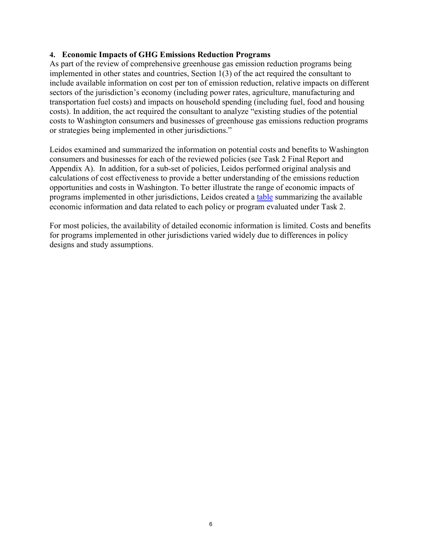#### **4. Economic Impacts of GHG Emissions Reduction Programs**

As part of the review of comprehensive greenhouse gas emission reduction programs being implemented in other states and countries, Section  $1(3)$  of the act required the consultant to include available information on cost per ton of emission reduction, relative impacts on different sectors of the jurisdiction's economy (including power rates, agriculture, manufacturing and transportation fuel costs) and impacts on household spending (including fuel, food and housing costs). In addition, the act required the consultant to analyze "existing studies of the potential costs to Washington consumers and businesses of greenhouse gas emissions reduction programs or strategies being implemented in other jurisdictions."

Leidos examined and summarized the information on potential costs and benefits to Washington consumers and businesses for each of the reviewed policies (see Task 2 Final Report and Appendix A). In addition, for a sub-set of policies, Leidos performed original analysis and calculations of cost effectiveness to provide a better understanding of the emissions reduction opportunities and costs in Washington. To better illustrate the range of economic impacts of programs implemented in other jurisdictions, Leidos created a [table](http://www.governor.wa.gov/issues/economy/climateWorkgroup/documents/CLEW_EconomicImpactSummary_20131106.pdf) summarizing the available economic information and data related to each policy or program evaluated under Task 2.

For most policies, the availability of detailed economic information is limited. Costs and benefits for programs implemented in other jurisdictions varied widely due to differences in policy designs and study assumptions.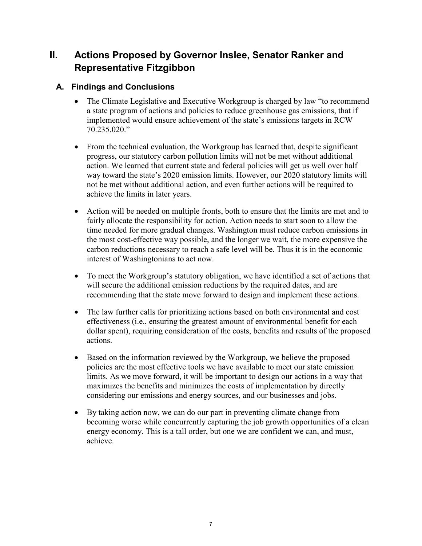# **II. Actions Proposed by Governor Inslee, Senator Ranker and Representative Fitzgibbon**

### **A. Findings and Conclusions**

- The Climate Legislative and Executive Workgroup is charged by law "to recommend" a state program of actions and policies to reduce greenhouse gas emissions, that if implemented would ensure achievement of the state's emissions targets in RCW 70.235.020."
- From the technical evaluation, the Workgroup has learned that, despite significant progress, our statutory carbon pollution limits will not be met without additional action. We learned that current state and federal policies will get us well over half way toward the state's 2020 emission limits. However, our 2020 statutory limits will not be met without additional action, and even further actions will be required to achieve the limits in later years.
- Action will be needed on multiple fronts, both to ensure that the limits are met and to fairly allocate the responsibility for action. Action needs to start soon to allow the time needed for more gradual changes. Washington must reduce carbon emissions in the most cost-effective way possible, and the longer we wait, the more expensive the carbon reductions necessary to reach a safe level will be. Thus it is in the economic interest of Washingtonians to act now.
- To meet the Workgroup's statutory obligation, we have identified a set of actions that will secure the additional emission reductions by the required dates, and are recommending that the state move forward to design and implement these actions.
- The law further calls for prioritizing actions based on both environmental and cost effectiveness (i.e., ensuring the greatest amount of environmental benefit for each dollar spent), requiring consideration of the costs, benefits and results of the proposed actions.
- Based on the information reviewed by the Workgroup, we believe the proposed policies are the most effective tools we have available to meet our state emission limits. As we move forward, it will be important to design our actions in a way that maximizes the benefits and minimizes the costs of implementation by directly considering our emissions and energy sources, and our businesses and jobs.
- By taking action now, we can do our part in preventing climate change from becoming worse while concurrently capturing the job growth opportunities of a clean energy economy. This is a tall order, but one we are confident we can, and must, achieve.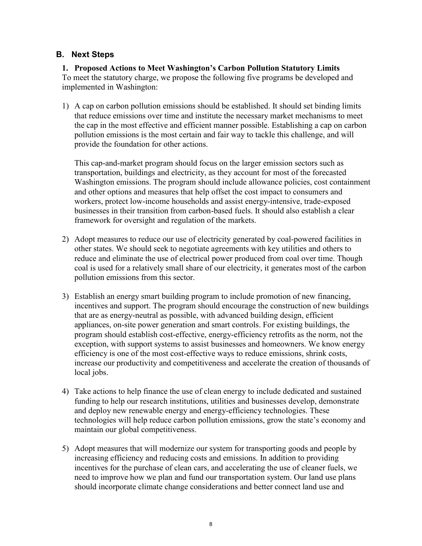#### **B. Next Steps**

#### **1. Proposed Actions to Meet Washington's Carbon Pollution Statutory Limits**  To meet the statutory charge, we propose the following five programs be developed and implemented in Washington:

1) A cap on carbon pollution emissions should be established. It should set binding limits that reduce emissions over time and institute the necessary market mechanisms to meet the cap in the most effective and efficient manner possible. Establishing a cap on carbon pollution emissions is the most certain and fair way to tackle this challenge, and will provide the foundation for other actions.

This cap-and-market program should focus on the larger emission sectors such as transportation, buildings and electricity, as they account for most of the forecasted Washington emissions. The program should include allowance policies, cost containment and other options and measures that help offset the cost impact to consumers and workers, protect low-income households and assist energy-intensive, trade-exposed businesses in their transition from carbon-based fuels. It should also establish a clear framework for oversight and regulation of the markets.

- 2) Adopt measures to reduce our use of electricity generated by coal-powered facilities in other states. We should seek to negotiate agreements with key utilities and others to reduce and eliminate the use of electrical power produced from coal over time. Though coal is used for a relatively small share of our electricity, it generates most of the carbon pollution emissions from this sector.
- 3) Establish an energy smart building program to include promotion of new financing, incentives and support. The program should encourage the construction of new buildings that are as energy-neutral as possible, with advanced building design, efficient appliances, on-site power generation and smart controls. For existing buildings, the program should establish cost-effective, energy-efficiency retrofits as the norm, not the exception, with support systems to assist businesses and homeowners. We know energy efficiency is one of the most cost-effective ways to reduce emissions, shrink costs, increase our productivity and competitiveness and accelerate the creation of thousands of local jobs.
- 4) Take actions to help finance the use of clean energy to include dedicated and sustained funding to help our research institutions, utilities and businesses develop, demonstrate and deploy new renewable energy and energy-efficiency technologies. These technologies will help reduce carbon pollution emissions, grow the state's economy and maintain our global competitiveness.
- 5) Adopt measures that will modernize our system for transporting goods and people by increasing efficiency and reducing costs and emissions. In addition to providing incentives for the purchase of clean cars, and accelerating the use of cleaner fuels, we need to improve how we plan and fund our transportation system. Our land use plans should incorporate climate change considerations and better connect land use and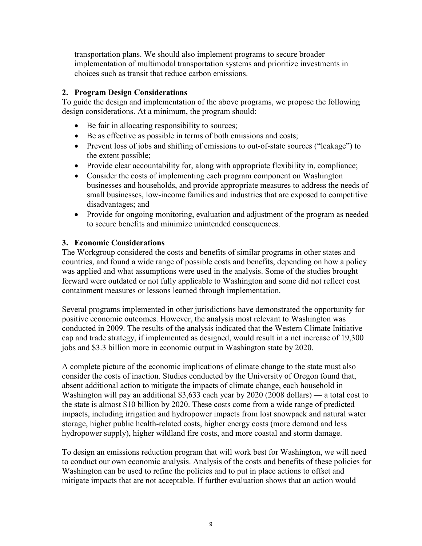transportation plans. We should also implement programs to secure broader implementation of multimodal transportation systems and prioritize investments in choices such as transit that reduce carbon emissions.

#### **2. Program Design Considerations**

To guide the design and implementation of the above programs, we propose the following design considerations. At a minimum, the program should:

- Be fair in allocating responsibility to sources;
- Be as effective as possible in terms of both emissions and costs;
- Prevent loss of jobs and shifting of emissions to out-of-state sources ("leakage") to the extent possible;
- Provide clear accountability for, along with appropriate flexibility in, compliance;
- Consider the costs of implementing each program component on Washington businesses and households, and provide appropriate measures to address the needs of small businesses, low-income families and industries that are exposed to competitive disadvantages; and
- Provide for ongoing monitoring, evaluation and adjustment of the program as needed to secure benefits and minimize unintended consequences.

#### **3. Economic Considerations**

The Workgroup considered the costs and benefits of similar programs in other states and countries, and found a wide range of possible costs and benefits, depending on how a policy was applied and what assumptions were used in the analysis. Some of the studies brought forward were outdated or not fully applicable to Washington and some did not reflect cost containment measures or lessons learned through implementation.

Several programs implemented in other jurisdictions have demonstrated the opportunity for positive economic outcomes. However, the analysis most relevant to Washington was conducted in 2009. The results of the analysis indicated that the Western Climate Initiative cap and trade strategy, if implemented as designed, would result in a net increase of 19,300 jobs and \$3.3 billion more in economic output in Washington state by 2020.

A complete picture of the economic implications of climate change to the state must also consider the costs of inaction. Studies conducted by the University of Oregon found that, absent additional action to mitigate the impacts of climate change, each household in Washington will pay an additional \$3,633 each year by 2020 (2008 dollars) — a total cost to the state is almost \$10 billion by 2020. These costs come from a wide range of predicted impacts, including irrigation and hydropower impacts from lost snowpack and natural water storage, higher public health-related costs, higher energy costs (more demand and less hydropower supply), higher wildland fire costs, and more coastal and storm damage.

To design an emissions reduction program that will work best for Washington, we will need to conduct our own economic analysis. Analysis of the costs and benefits of these policies for Washington can be used to refine the policies and to put in place actions to offset and mitigate impacts that are not acceptable. If further evaluation shows that an action would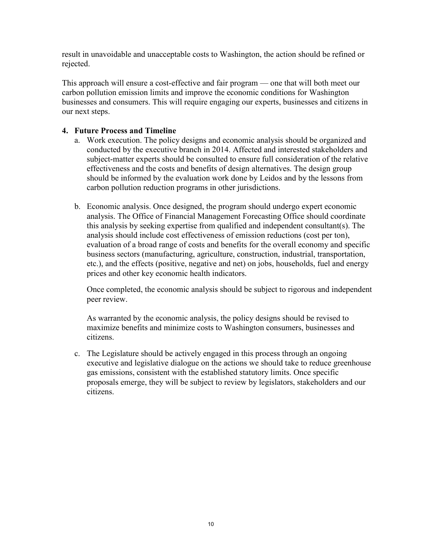result in unavoidable and unacceptable costs to Washington, the action should be refined or rejected.

This approach will ensure a cost-effective and fair program — one that will both meet our carbon pollution emission limits and improve the economic conditions for Washington businesses and consumers. This will require engaging our experts, businesses and citizens in our next steps.

#### **4. Future Process and Timeline**

- a. Work execution. The policy designs and economic analysis should be organized and conducted by the executive branch in 2014. Affected and interested stakeholders and subject-matter experts should be consulted to ensure full consideration of the relative effectiveness and the costs and benefits of design alternatives. The design group should be informed by the evaluation work done by Leidos and by the lessons from carbon pollution reduction programs in other jurisdictions.
- b. Economic analysis. Once designed, the program should undergo expert economic analysis. The Office of Financial Management Forecasting Office should coordinate this analysis by seeking expertise from qualified and independent consultant(s). The analysis should include cost effectiveness of emission reductions (cost per ton), evaluation of a broad range of costs and benefits for the overall economy and specific business sectors (manufacturing, agriculture, construction, industrial, transportation, etc.), and the effects (positive, negative and net) on jobs, households, fuel and energy prices and other key economic health indicators.

Once completed, the economic analysis should be subject to rigorous and independent peer review.

As warranted by the economic analysis, the policy designs should be revised to maximize benefits and minimize costs to Washington consumers, businesses and citizens.

c. The Legislature should be actively engaged in this process through an ongoing executive and legislative dialogue on the actions we should take to reduce greenhouse gas emissions, consistent with the established statutory limits. Once specific proposals emerge, they will be subject to review by legislators, stakeholders and our citizens.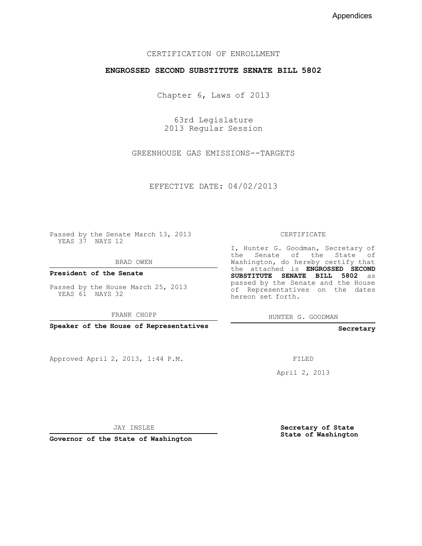#### CERTIFICATION OF ENROLLMENT

#### **ENGROSSED SECOND SUBSTITUTE SENATE BILL 5802**

Chapter 6, Laws of 2013

63rd Legislature 2013 Regular Session

GREENHOUSE GAS EMISSIONS--TARGETS

EFFECTIVE DATE: 04/02/2013

Passed by the Senate March 13, 2013 YEAS 37 NAYS 12

BRAD OWEN

**President of the Senate**

Passed by the House March 25, 2013 YEAS 61 NAYS 32

FRANK CHOPP

**Speaker of the House of Representatives**

Approved April 2, 2013, 1:44 P.M.

CERTIFICATE

I, Hunter G. Goodman, Secretary of the Senate of the State of Washington, do hereby certify that the attached is **ENGROSSED SECOND SUBSTITUTE SENATE BILL 5802** as passed by the Senate and the House of Representatives on the dates hereon set forth.

HUNTER G. GOODMAN

**Secretary**

FILED

April 2, 2013

JAY INSLEE

**Governor of the State of Washington**

**Secretary of State State of Washington**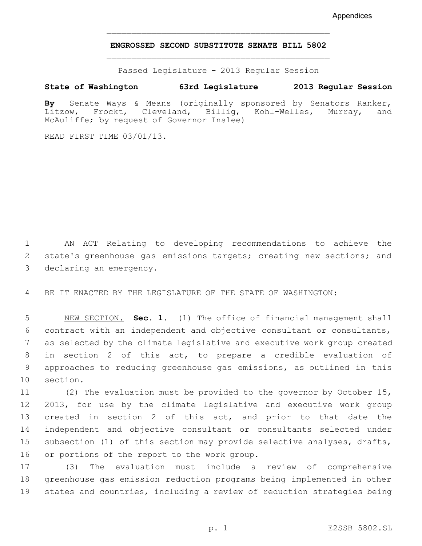#### **ENGROSSED SECOND SUBSTITUTE SENATE BILL 5802** \_\_\_\_\_\_\_\_\_\_\_\_\_\_\_\_\_\_\_\_\_\_\_\_\_\_\_\_\_\_\_\_\_\_\_\_\_\_\_\_\_\_\_\_\_

\_\_\_\_\_\_\_\_\_\_\_\_\_\_\_\_\_\_\_\_\_\_\_\_\_\_\_\_\_\_\_\_\_\_\_\_\_\_\_\_\_\_\_\_\_

Passed Legislature - 2013 Regular Session

#### **State of Washington 63rd Legislature 2013 Regular Session**

**By** Senate Ways & Means (originally sponsored by Senators Ranker, Kohl-Welles, McAuliffe; by request of Governor Inslee)

READ FIRST TIME 03/01/13.

 1 AN ACT Relating to developing recommendations to achieve the 2 state's greenhouse gas emissions targets; creating new sections; and 3 declaring an emergency.

4 BE IT ENACTED BY THE LEGISLATURE OF THE STATE OF WASHINGTON:

 5 NEW SECTION. **Sec. 1.** (1) The office of financial management shall 6 contract with an independent and objective consultant or consultants, 7 as selected by the climate legislative and executive work group created 8 in section 2 of this act, to prepare a credible evaluation of 9 approaches to reducing greenhouse gas emissions, as outlined in this 10 section.

11 (2) The evaluation must be provided to the governor by October 15, 12 2013, for use by the climate legislative and executive work group 13 created in section 2 of this act, and prior to that date the 14 independent and objective consultant or consultants selected under 15 subsection (1) of this section may provide selective analyses, drafts, 16 or portions of the report to the work group.

17 (3) The evaluation must include a review of comprehensive 18 greenhouse gas emission reduction programs being implemented in other 19 states and countries, including a review of reduction strategies being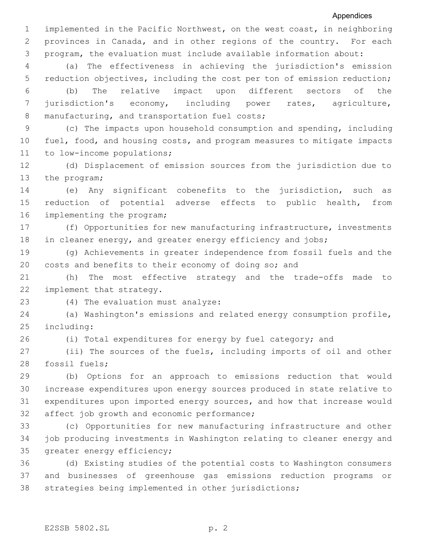1 implemented in the Pacific Northwest, on the west coast, in neighboring 2 provinces in Canada, and in other regions of the country. For each 3 program, the evaluation must include available information about:

 4 (a) The effectiveness in achieving the jurisdiction's emission 5 reduction objectives, including the cost per ton of emission reduction;

 6 (b) The relative impact upon different sectors of the 7 jurisdiction's economy, including power rates, agriculture, 8 manufacturing, and transportation fuel costs;

 9 (c) The impacts upon household consumption and spending, including 10 fuel, food, and housing costs, and program measures to mitigate impacts 11 to low-income populations;

12 (d) Displacement of emission sources from the jurisdiction due to 13 the program;

14 (e) Any significant cobenefits to the jurisdiction, such as 15 reduction of potential adverse effects to public health, from 16 implementing the program;

17 (f) Opportunities for new manufacturing infrastructure, investments 18 in cleaner energy, and greater energy efficiency and jobs;

19 (g) Achievements in greater independence from fossil fuels and the 20 costs and benefits to their economy of doing so; and

21 (h) The most effective strategy and the trade-offs made to 22 implement that strategy.

23 (4) The evaluation must analyze:

24 (a) Washington's emissions and related energy consumption profile, 25 including:

26 (i) Total expenditures for energy by fuel category; and

27 (ii) The sources of the fuels, including imports of oil and other 28 fossil fuels;

29 (b) Options for an approach to emissions reduction that would 30 increase expenditures upon energy sources produced in state relative to 31 expenditures upon imported energy sources, and how that increase would 32 affect job growth and economic performance;

33 (c) Opportunities for new manufacturing infrastructure and other 34 job producing investments in Washington relating to cleaner energy and 35 greater energy efficiency;

36 (d) Existing studies of the potential costs to Washington consumers 37 and businesses of greenhouse gas emissions reduction programs or 38 strategies being implemented in other jurisdictions;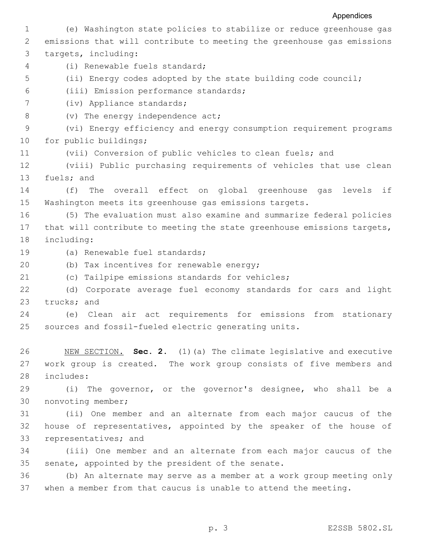1 (e) Washington state policies to stabilize or reduce greenhouse gas 2 emissions that will contribute to meeting the greenhouse gas emissions 3 targets, including: 4 (i) Renewable fuels standard; 5 (ii) Energy codes adopted by the state building code council; 6 (iii) Emission performance standards; 7 (iv) Appliance standards; 8 (v) The energy independence act; 9 (vi) Energy efficiency and energy consumption requirement programs 10 for public buildings; 11 (vii) Conversion of public vehicles to clean fuels; and 12 (viii) Public purchasing requirements of vehicles that use clean 13 fuels; and 14 (f) The overall effect on global greenhouse gas levels if 15 Washington meets its greenhouse gas emissions targets. 16 (5) The evaluation must also examine and summarize federal policies 17 that will contribute to meeting the state greenhouse emissions targets, 18 including: 19 (a) Renewable fuel standards; 20 (b) Tax incentives for renewable energy; 21 (c) Tailpipe emissions standards for vehicles; 22 (d) Corporate average fuel economy standards for cars and light 23 trucks; and 24 (e) Clean air act requirements for emissions from stationary 25 sources and fossil-fueled electric generating units. 26 NEW SECTION. **Sec. 2.** (1)(a) The climate legislative and executive 27 work group is created. The work group consists of five members and 28 includes: 29 (i) The governor, or the governor's designee, who shall be a 30 nonvoting member; 31 (ii) One member and an alternate from each major caucus of the 32 house of representatives, appointed by the speaker of the house of 33 representatives; and 34 (iii) One member and an alternate from each major caucus of the 35 senate, appointed by the president of the senate. 36 (b) An alternate may serve as a member at a work group meeting only 37 when a member from that caucus is unable to attend the meeting.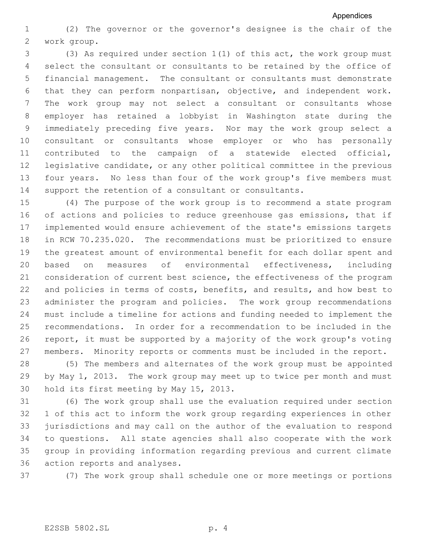1 (2) The governor or the governor's designee is the chair of the 2 work group.

 3 (3) As required under section 1(1) of this act, the work group must 4 select the consultant or consultants to be retained by the office of 5 financial management. The consultant or consultants must demonstrate 6 that they can perform nonpartisan, objective, and independent work. 7 The work group may not select a consultant or consultants whose 8 employer has retained a lobbyist in Washington state during the 9 immediately preceding five years. Nor may the work group select a 10 consultant or consultants whose employer or who has personally 11 contributed to the campaign of a statewide elected official, 12 legislative candidate, or any other political committee in the previous 13 four years. No less than four of the work group's five members must 14 support the retention of a consultant or consultants.

 (4) The purpose of the work group is to recommend a state program of actions and policies to reduce greenhouse gas emissions, that if implemented would ensure achievement of the state's emissions targets in RCW 70.235.020. The recommendations must be prioritized to ensure the greatest amount of environmental benefit for each dollar spent and 20 based on measures of environmental effectiveness, including 21 consideration of current best science, the effectiveness of the program and policies in terms of costs, benefits, and results, and how best to administer the program and policies. The work group recommendations 24 must include a timeline for actions and funding needed to implement the recommendations. In order for a recommendation to be included in the report, it must be supported by a majority of the work group's voting 27 members. Minority reports or comments must be included in the report.

28 (5) The members and alternates of the work group must be appointed 29 by May 1, 2013. The work group may meet up to twice per month and must 30 hold its first meeting by May 15, 2013.

 (6) The work group shall use the evaluation required under section 1 of this act to inform the work group regarding experiences in other jurisdictions and may call on the author of the evaluation to respond to questions. All state agencies shall also cooperate with the work group in providing information regarding previous and current climate 36 action reports and analyses.

37 (7) The work group shall schedule one or more meetings or portions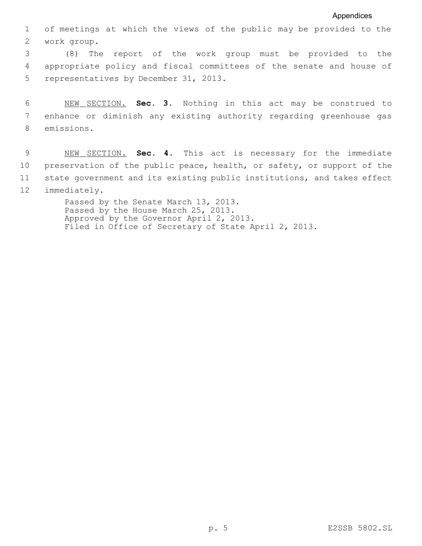1 of meetings at which the views of the public may be provided to the 2 work group.

 3 (8) The report of the work group must be provided to the 4 appropriate policy and fiscal committees of the senate and house of 5 representatives by December 31, 2013.

 6 NEW SECTION. **Sec. 3.** Nothing in this act may be construed to 7 enhance or diminish any existing authority regarding greenhouse gas 8 emissions.

 9 NEW SECTION. **Sec. 4.** This act is necessary for the immediate 10 preservation of the public peace, health, or safety, or support of the 11 state government and its existing public institutions, and takes effect 12 immediately.

> Passed by the Senate March 13, 2013. Passed by the House March 25, 2013. Approved by the Governor April 2, 2013. Filed in Office of Secretary of State April 2, 2013.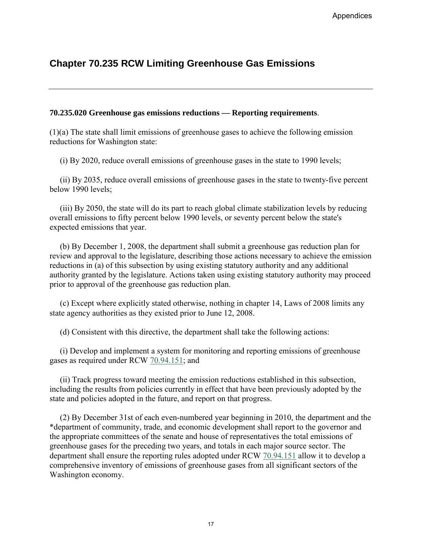# **Chapter 70.235 RCW Limiting Greenhouse Gas Emissions**

#### **70.235.020 Greenhouse gas emissions reductions — Reporting requirements**.

(1)(a) The state shall limit emissions of greenhouse gases to achieve the following emission reductions for Washington state:

(i) By 2020, reduce overall emissions of greenhouse gases in the state to 1990 levels;

 (ii) By 2035, reduce overall emissions of greenhouse gases in the state to twenty-five percent below 1990 levels;

 (iii) By 2050, the state will do its part to reach global climate stabilization levels by reducing overall emissions to fifty percent below 1990 levels, or seventy percent below the state's expected emissions that year.

 (b) By December 1, 2008, the department shall submit a greenhouse gas reduction plan for review and approval to the legislature, describing those actions necessary to achieve the emission reductions in (a) of this subsection by using existing statutory authority and any additional authority granted by the legislature. Actions taken using existing statutory authority may proceed prior to approval of the greenhouse gas reduction plan.

 (c) Except where explicitly stated otherwise, nothing in chapter 14, Laws of 2008 limits any state agency authorities as they existed prior to June 12, 2008.

(d) Consistent with this directive, the department shall take the following actions:

 (i) Develop and implement a system for monitoring and reporting emissions of greenhouse gases as required under RCW [70.94.151;](http://apps.leg.wa.gov/RCW/default.aspx?cite=70.94.151) and

 (ii) Track progress toward meeting the emission reductions established in this subsection, including the results from policies currently in effect that have been previously adopted by the state and policies adopted in the future, and report on that progress.

 (2) By December 31st of each even-numbered year beginning in 2010, the department and the \*department of community, trade, and economic development shall report to the governor and the appropriate committees of the senate and house of representatives the total emissions of greenhouse gases for the preceding two years, and totals in each major source sector. The department shall ensure the reporting rules adopted under RCW [70.94.151](http://apps.leg.wa.gov/RCW/default.aspx?cite=70.94.151) allow it to develop a comprehensive inventory of emissions of greenhouse gases from all significant sectors of the Washington economy. 17 Appendices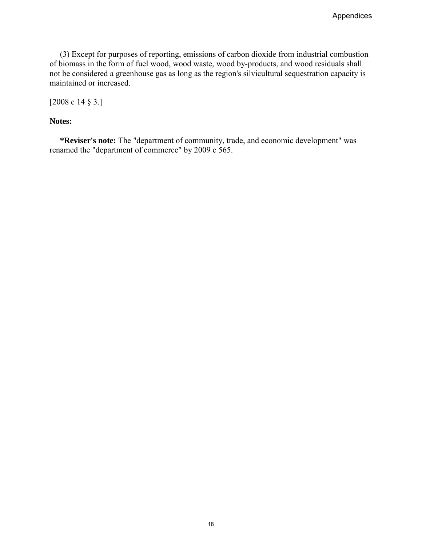(3) Except for purposes of reporting, emissions of carbon dioxide from industrial combustion of biomass in the form of fuel wood, wood waste, wood by-products, and wood residuals shall not be considered a greenhouse gas as long as the region's silvicultural sequestration capacity is maintained or increased. Appendices<br>
ans of carbon dioxide from industrial combustion<br>  $\mathbf{c}_c$ , wood by-products, and wood residuals shall<br>
inity, trade, and economic development" was<br>  $\mathbf{a}_c$  of  $\mathbf{c}_c$ .

[2008 c 14 § 3.]

#### **Notes:**

 **\*Reviser's note:** The "department of community, trade, and economic development" was renamed the "department of commerce" by 2009 c 565.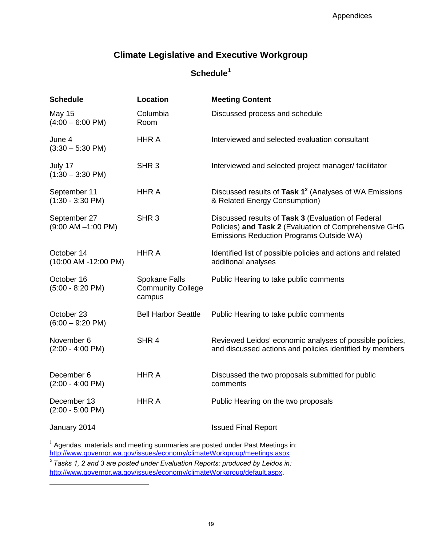# <span id="page-24-0"></span>**Climate Legislative and Executive Workgroup**

### **Schedule[1](#page-24-0)**

|                                                            | Appendices                                                                                                                                                           |  |  |  |  |  |  |  |
|------------------------------------------------------------|----------------------------------------------------------------------------------------------------------------------------------------------------------------------|--|--|--|--|--|--|--|
|                                                            | <b>Climate Legislative and Executive Workgroup</b>                                                                                                                   |  |  |  |  |  |  |  |
| Schedule <sup>1</sup>                                      |                                                                                                                                                                      |  |  |  |  |  |  |  |
| Location                                                   | <b>Meeting Content</b>                                                                                                                                               |  |  |  |  |  |  |  |
| Columbia<br>Room                                           | Discussed process and schedule                                                                                                                                       |  |  |  |  |  |  |  |
| <b>HHR A</b>                                               | Interviewed and selected evaluation consultant                                                                                                                       |  |  |  |  |  |  |  |
| SHR <sub>3</sub>                                           | Interviewed and selected project manager/facilitator                                                                                                                 |  |  |  |  |  |  |  |
| <b>HHR A</b>                                               | Discussed results of Task 1 <sup>2</sup> (Analyses of WA Emissions<br>& Related Energy Consumption)                                                                  |  |  |  |  |  |  |  |
| SHR <sub>3</sub>                                           | Discussed results of Task 3 (Evaluation of Federal<br>Policies) and Task 2 (Evaluation of Comprehensive GHG<br>Emissions Reduction Programs Outside WA)              |  |  |  |  |  |  |  |
| <b>HHR A</b>                                               | Identified list of possible policies and actions and related<br>additional analyses                                                                                  |  |  |  |  |  |  |  |
| <b>Spokane Falls</b><br><b>Community College</b><br>campus | Public Hearing to take public comments                                                                                                                               |  |  |  |  |  |  |  |
| <b>Bell Harbor Seattle</b>                                 | Public Hearing to take public comments                                                                                                                               |  |  |  |  |  |  |  |
| SHR <sub>4</sub>                                           | Reviewed Leidos' economic analyses of possible policies,<br>and discussed actions and policies identified by members                                                 |  |  |  |  |  |  |  |
| <b>HHRA</b>                                                | Discussed the two proposals submitted for public<br>comments                                                                                                         |  |  |  |  |  |  |  |
| <b>HHR A</b>                                               | Public Hearing on the two proposals                                                                                                                                  |  |  |  |  |  |  |  |
|                                                            | <b>Issued Final Report</b>                                                                                                                                           |  |  |  |  |  |  |  |
|                                                            | <sup>1</sup> Agendas, materials and meeting summaries are posted under Past Meetings in:<br>http://www.governor.wa.gov/issues/economy/climateWorkgroup/meetings.aspx |  |  |  |  |  |  |  |
|                                                            | $2$ Tasks 1, 2 and 3 are posted under Evaluation Reports: produced by Leidos in:<br>http://www.governor.wa.gov/issues/economy/climateWorkgroup/default.aspx.         |  |  |  |  |  |  |  |
|                                                            |                                                                                                                                                                      |  |  |  |  |  |  |  |
|                                                            | 19                                                                                                                                                                   |  |  |  |  |  |  |  |
|                                                            |                                                                                                                                                                      |  |  |  |  |  |  |  |